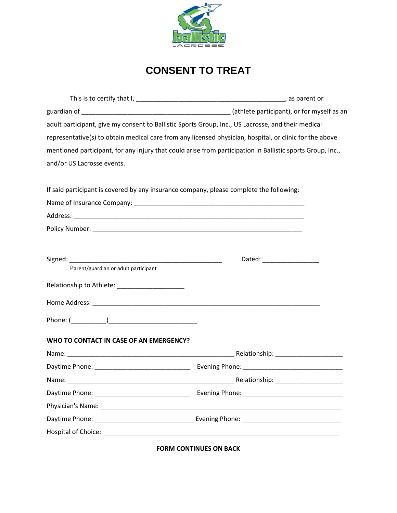

## **CONSENT TO TREAT**

| adult participant, give my consent to Ballistic Sports Group, Inc., US Lacrosse, and their medical      |                                                                                                                |
|---------------------------------------------------------------------------------------------------------|----------------------------------------------------------------------------------------------------------------|
| representative(s) to obtain medical care from any licensed physician, hospital, or clinic for the above |                                                                                                                |
|                                                                                                         | mentioned participant, for any injury that could arise from participation in Ballistic sports Group, Inc.,     |
| and/or US Lacrosse events.                                                                              |                                                                                                                |
| If said participant is covered by any insurance company, please complete the following:                 |                                                                                                                |
|                                                                                                         |                                                                                                                |
|                                                                                                         |                                                                                                                |
|                                                                                                         |                                                                                                                |
|                                                                                                         |                                                                                                                |
|                                                                                                         | Dated: National Property of the United States of the United States and States and States and States and States |
| Parent/guardian or adult participant                                                                    |                                                                                                                |
| Relationship to Athlete: _____________________                                                          |                                                                                                                |
|                                                                                                         |                                                                                                                |
|                                                                                                         |                                                                                                                |
| WHO TO CONTACT IN CASE OF AN EMERGENCY?                                                                 |                                                                                                                |
|                                                                                                         |                                                                                                                |
|                                                                                                         |                                                                                                                |
| Name:                                                                                                   |                                                                                                                |
|                                                                                                         |                                                                                                                |
|                                                                                                         |                                                                                                                |
|                                                                                                         |                                                                                                                |
|                                                                                                         |                                                                                                                |
|                                                                                                         |                                                                                                                |

**FORM CONTINUES ON BACK**